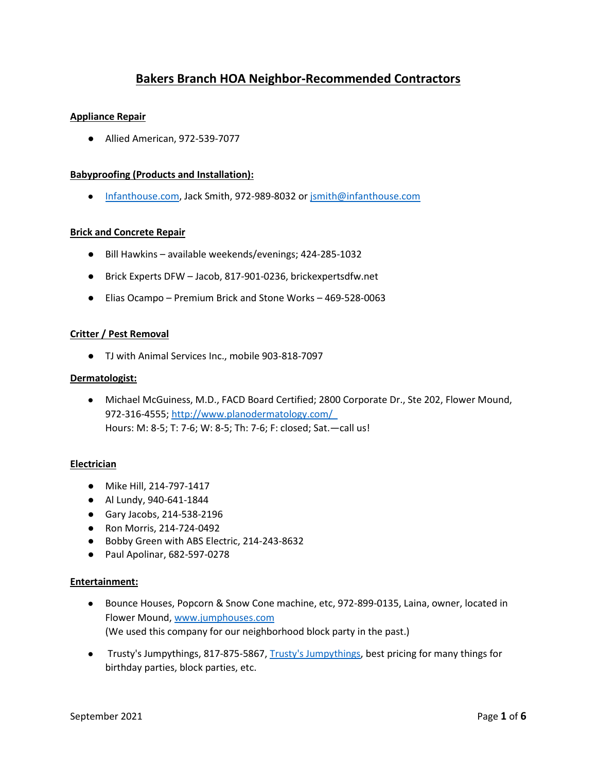# **Bakers Branch HOA Neighbor-Recommended Contractors**

## **Appliance Repair**

● Allied American, 972-539-7077

## **Babyproofing (Products and Installation):**

● [Infanthouse.com,](http://www.infanthouse.com/) Jack Smith, 972-989-8032 or [jsmith@infanthouse.com](about:blank)

## **Brick and Concrete Repair**

- Bill Hawkins available weekends/evenings; 424-285-1032
- Brick Experts DFW Jacob, 817-901-0236, brickexpertsdfw.net
- Elias Ocampo Premium Brick and Stone Works 469-528-0063

## **Critter / Pest Removal**

● TJ with Animal Services Inc., mobile 903-818-7097

#### **Dermatologist:**

● Michael McGuiness, M.D., FACD Board Certified; 2800 Corporate Dr., Ste 202, Flower Mound, 972-316-4555; <http://www.planodermatology.com/> Hours: M: 8-5; T: 7-6; W: 8-5; Th: 7-6; F: closed; Sat.—call us!

#### **Electrician**

- Mike Hill, 214-797-1417
- Al Lundy, 940-641-1844
- Gary Jacobs, 214-538-2196
- Ron Morris, 214-724-0492
- Bobby Green with ABS Electric, 214-243-8632
- Paul Apolinar, 682-597-0278

#### **Entertainment:**

- Bounce Houses, Popcorn & Snow Cone machine, etc, 972-899-0135, Laina, owner, located in Flower Mound, [www.jumphouses.com](http://www.jumphouses.com/) (We used this company for our neighborhood block party in the past.)
- [Trusty's Jumpythings,](http://trustyjump.com/home__about_us) 817-875-5867, Trusty's Jumpythings, best pricing for many things for birthday parties, block parties, etc.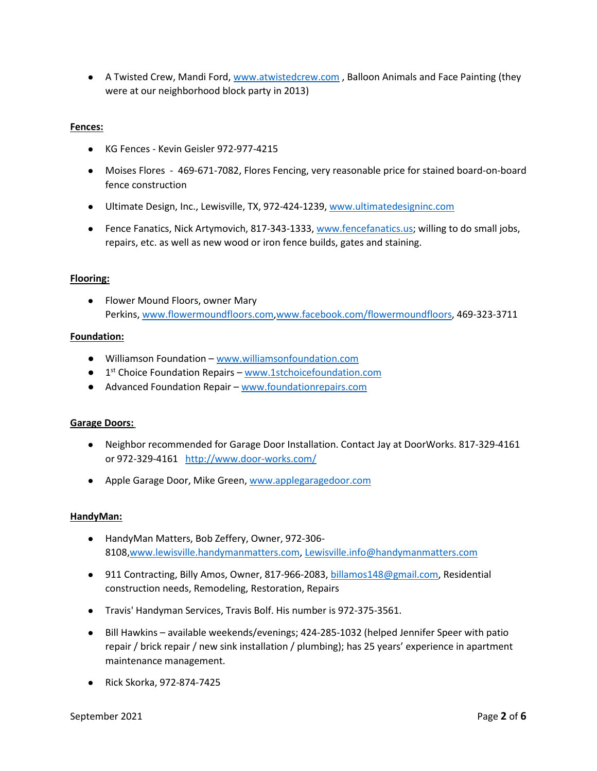● A Twisted Crew, Mandi Ford, [www.atwistedcrew.com](http://www.atwistedcrew.com/), Balloon Animals and Face Painting (they were at our neighborhood block party in 2013)

## **Fences:**

- KG Fences Kevin Geisler 972-977-4215
- Moises Flores 469-671-7082, Flores Fencing, very reasonable price for stained board-on-board fence construction
- Ultimate Design, Inc., Lewisville, TX, 972-424-1239, [www.ultimatedesigninc.com](http://www.ultimatedesigninc.com/)
- Fence Fanatics, Nick Artymovich, 817-343-1333, [www.fencefanatics.us;](http://www.fencefanatics.us/) willing to do small jobs, repairs, etc. as well as new wood or iron fence builds, gates and staining.

## **Flooring:**

● Flower Mound Floors, owner Mary Perkins, [www.flowermoundfloors.com](http://www.flowermoundfloors.com/)[,www.facebook.com/flowermoundfloors,](http://www.facebook.com/flowermoundfloors) 469-323-3711

#### **Foundation:**

- Williamson Foundation [www.williamsonfoundation.com](http://www.williamsonfoundation.com/)
- 1<sup>st</sup> Choice Foundation Repairs [www.1stchoicefoundation.com](http://www.1stchoicefoundation.com/)
- Advanced Foundation Repair [www.foundationrepairs.com](http://www.foundationrepairs.com/)

#### **Garage Doors[:](http://www.door-works.com/)**

- Neighbor recommended for Garage Door Installation. Contact Jay at DoorWorks. 817-329-4161 or 972-329-4161 <http://www.door-works.com/>
- Apple Garage Door, Mike Green, [www.applegaragedoor.com](http://www.applegaragedoor.com/)

#### **HandyMan:**

- HandyMan Matters, Bob Zeffery, Owner, 972-306- 8108[,www.lewisville.handymanmatters.com,](http://www.lewisville.handymanmatters.com/) [Lewisville.info@handymanmatters.com](http://Lewisville.info@handymanmatters.com/)
- 911 Contracting, Billy Amos, Owner, 817-966-2083, [billamos148@gmail.com,](mailto:billamos148@gmail.com) Residential construction needs, Remodeling, Restoration, Repairs
- Travis' Handyman Services, Travis Bolf. His number is 972-375-3561.
- Bill Hawkins available weekends/evenings; 424-285-1032 (helped Jennifer Speer with patio repair / brick repair / new sink installation / plumbing); has 25 years' experience in apartment maintenance management.
- Rick Skorka, 972-874-7425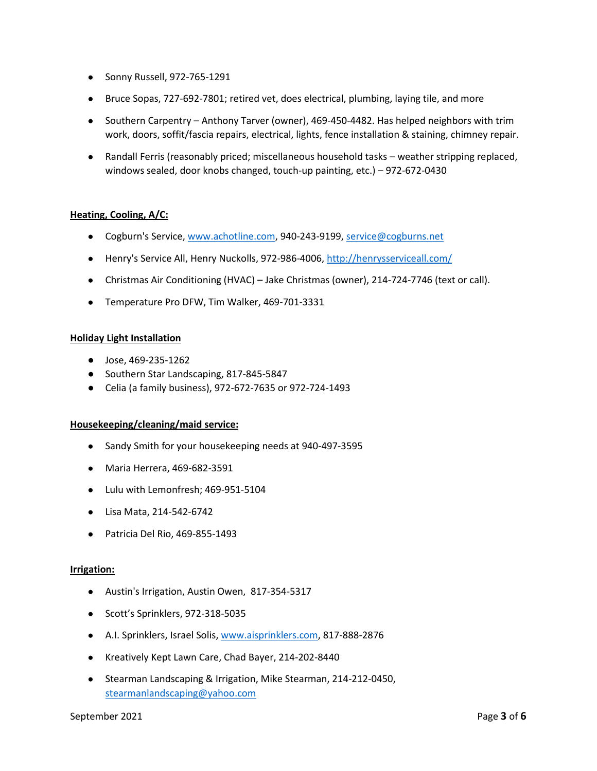- Sonny Russell, 972-765-1291
- Bruce Sopas, 727-692-7801; retired vet, does electrical, plumbing, laying tile, and more
- Southern Carpentry Anthony Tarver (owner), 469-450-4482. Has helped neighbors with trim work, doors, soffit/fascia repairs, electrical, lights, fence installation & staining, chimney repair.
- Randall Ferris (reasonably priced; miscellaneous household tasks weather stripping replaced, windows sealed, door knobs changed, touch-up painting, etc.) – 972-672-0430

# **Heating, Cooling, A/C:**

- Cogburn's Service, [www.achotline.com,](http://www.achotline.com/) 940-243-9199, [service@cogburns.net](mailto:service@cogburns.net)
- Henry's Service All, Henry Nuckolls, 972-986-4006, <http://henrysserviceall.com/>
- Christmas Air Conditioning (HVAC) Jake Christmas (owner), 214-724-7746 (text or call).
- Temperature Pro DFW, Tim Walker, 469-701-3331

#### **Holiday Light Installation**

- Jose, 469-235-1262
- Southern Star Landscaping, 817-845-5847
- Celia (a family business), 972-672-7635 or 972-724-1493

#### **Housekeeping/cleaning/maid service:**

- Sandy Smith for your housekeeping needs at 940-497-3595
- Maria Herrera, 469-682-3591
- Lulu with Lemonfresh; 469-951-5104
- Lisa Mata, 214-542-6742
- Patricia Del Rio, 469-855-1493

#### **Irrigation:**

- Austin's Irrigation, Austin Owen, 817-354-5317
- Scott's Sprinklers, 972-318-5035
- A.I. Sprinklers, Israel Solis[, www.aisprinklers.com,](http://www.aisprinklers.com/) 817-888-2876
- Kreatively Kept Lawn Care, Chad Bayer, 214-202-8440
- Stearman Landscaping & Irrigation, Mike Stearman, 214-212-0450, [stearmanlandscaping@yahoo.com](mailto:stearmanlandscaping@yahoo.com)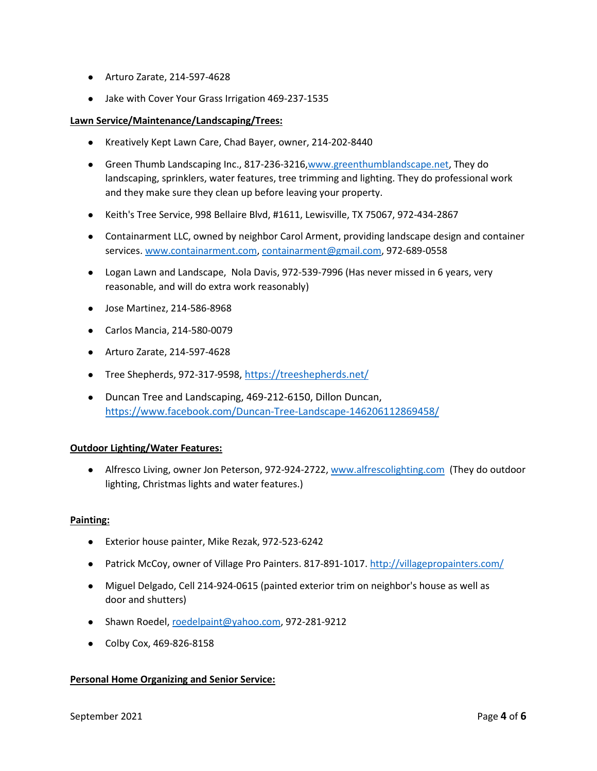- Arturo Zarate, 214-597-4628
- Jake with Cover Your Grass Irrigation 469-237-1535

## **Lawn Service/Maintenance/Landscaping/Trees:**

- Kreatively Kept Lawn Care, Chad Bayer, owner, 214-202-8440
- Green Thumb Landscaping Inc., 817-236-3216[,www.greenthumblandscape.net,](http://www.greenthumblandscape.net/) They do landscaping, sprinklers, water features, tree trimming and lighting. They do professional work and they make sure they clean up before leaving your property.
- Keith's Tree Service, 998 Bellaire Blvd, #1611, Lewisville, TX 75067, 972-434-2867
- Containarment LLC, owned by neighbor Carol Arment, providing landscape design and container services. [www.containarment.com,](http://www.containarment.com/) [containarment@gmail.com,](mailto:containarment@gmail.com) 972-689-0558
- Logan Lawn and Landscape, Nola Davis, 972-539-7996 (Has never missed in 6 years, very reasonable, and will do extra work reasonably)
- Jose Martinez, 214-586-8968
- Carlos Mancia, 214-580-0079
- Arturo Zarate, 214-597-4628
- Tree Shepherds, [972-317-9598,](tel:972-317-9598) <https://treeshepherds.net/>
- Duncan Tree and Landscaping, 469-212-6150, Dillon Duncan, <https://www.facebook.com/Duncan-Tree-Landscape-146206112869458/>

# **Outdoor Lighting/Water Features:**

● Alfresco Living, owner Jon Peterson, 972-924-2722, [www.alfrescolighting.com](http://www.alfrescolighting.com/) (They do outdoor lighting, Christmas lights and water features.)

# **Painting:**

- Exterior house painter, Mike Rezak, 972-523-6242
- Patrick McCoy, owner of Village Pro Painters. 817-891-1017. <http://villagepropainters.com/>
- Miguel Delgado, Cell 214-924-0615 (painted exterior trim on neighbor's house as well as door and shutters)
- Shawn Roedel[, roedelpaint@yahoo.com,](mailto:roedelpaint@yahoo.com) 972-281-9212
- Colby Cox, 469-826-8158

# **Personal Home Organizing and Senior Service:**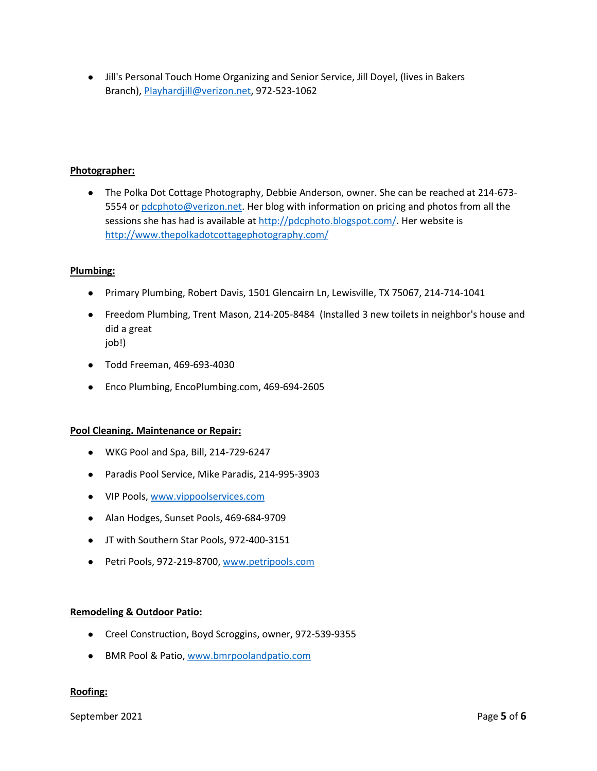● Jill's Personal Touch Home Organizing and Senior Service, Jill Doyel, (lives in Bakers Branch), [Playhardjill@verizon.net,](mailto:Playhardjill@verizon.net) 972-523-1062

# **Photographer:**

● The Polka Dot Cottage Photography, Debbie Anderson, owner. She can be reached at 214-673 5554 or [pdcphoto@verizon.net.](mailto:pdcphoto@verizon.net) Her blog with information on pricing and photos from all the sessions she has had is available at [http://pdcphoto.blogspot.com/.](http://pdcphoto.blogspot.com/) Her website is <http://www.thepolkadotcottagephotography.com/>

# **Plumbing:**

- Primary Plumbing, Robert Davis, 1501 Glencairn Ln, Lewisville, TX 75067, 214-714-1041
- Freedom Plumbing, Trent Mason, 214-205-8484 (Installed 3 new toilets in neighbor's house and did a great job!)
- Todd Freeman, 469-693-4030
- Enco Plumbing, EncoPlumbing.com, 469-694-2605

# **Pool Cleaning. Maintenance or Repair:**

- WKG Pool and Spa, Bill, 214-729-6247
- Paradis Pool Service, Mike Paradis, 214-995-3903
- VIP Pools[, www.vippoolservices.com](http://www.vippoolservices.com/)
- Alan Hodges, Sunset Pools, 469-684-9709
- JT with Southern Star Pools, 972-400-3151
- Petri Pools, 972-219-8700[, www.petripools.com](http://www.petripools.com/)

#### **Remodeling & Outdoor Patio:**

- Creel Construction, Boyd Scroggins, owner, 972-539-9355
- BMR Pool & Patio, [www.bmrpoolandpatio.com](http://www.bmrpoolandpatio.com/)

# **Roofing:**

September 2021 **Page 5** of **6**